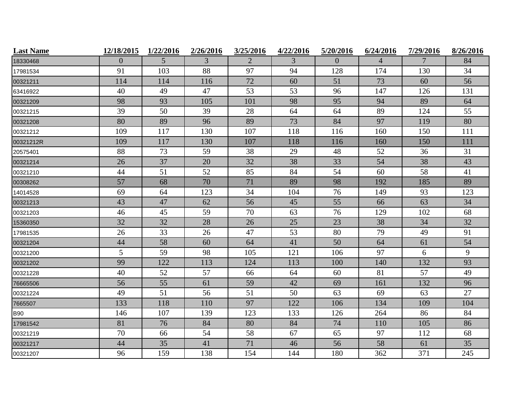| <b>Last Name</b> | 12/18/2015     | 1/22/2016 | 2/26/2016 | 3/25/2016      | 4/22/2016 | 5/20/2016 | 6/24/2016      | 7/29/2016 | 8/26/2016 |
|------------------|----------------|-----------|-----------|----------------|-----------|-----------|----------------|-----------|-----------|
| 18330468         | $\overline{0}$ | 5         | 3         | $\overline{2}$ | 3         | $\Omega$  | $\overline{4}$ | 7         | 84        |
| 17981534         | 91             | 103       | 88        | 97             | 94        | 128       | 174            | 130       | 34        |
| 00321211         | 114            | 114       | 116       | 72             | 60        | 51        | 73             | 60        | 56        |
| 63416922         | 40             | 49        | 47        | 53             | 53        | 96        | 147            | 126       | 131       |
| 00321209         | 98             | 93        | 105       | 101            | 98        | 95        | 94             | 89        | 64        |
| 00321215         | 39             | 50        | 39        | 28             | 64        | 64        | 89             | 124       | 55        |
| 00321208         | 80             | 89        | 96        | 89             | 73        | 84        | 97             | 119       | 80        |
| 00321212         | 109            | 117       | 130       | 107            | 118       | 116       | 160            | 150       | 111       |
| 00321212R        | 109            | 117       | 130       | 107            | 118       | 116       | 160            | 150       | 111       |
| 20575401         | 88             | 73        | 59        | 38             | 29        | 48        | 52             | 36        | 31        |
| 00321214         | 26             | 37        | 20        | 32             | 38        | 33        | 54             | 38        | 43        |
| 00321210         | 44             | 51        | 52        | 85             | 84        | 54        | 60             | 58        | 41        |
| 00308262         | 57             | 68        | 70        | 71             | 89        | 98        | 192            | 185       | 89        |
| 14014528         | 69             | 64        | 123       | 34             | 104       | 76        | 149            | 93        | 123       |
| 00321213         | 43             | 47        | 62        | 56             | 45        | 55        | 66             | 63        | 34        |
| 00321203         | 46             | 45        | 59        | 70             | 63        | 76        | 129            | 102       | 68        |
| 15360350         | 32             | 32        | 28        | 26             | 25        | 23        | 38             | 34        | 32        |
| 17981535         | 26             | 33        | 26        | 47             | 53        | 80        | 79             | 49        | 91        |
| 00321204         | 44             | 58        | 60        | 64             | 41        | 50        | 64             | 61        | 54        |
| 00321200         | 5              | 59        | 98        | 105            | 121       | 106       | 97             | 6         | 9         |
| 00321202         | 99             | 122       | 113       | 124            | 113       | 100       | 140            | 132       | 93        |
| 00321228         | 40             | 52        | 57        | 66             | 64        | 60        | 81             | 57        | 49        |
| 76665506         | 56             | 55        | 61        | 59             | 42        | 69        | 161            | 132       | 96        |
| 00321224         | 49             | 51        | 56        | 51             | 50        | 63        | 69             | 63        | 27        |
| 7665507          | 133            | 118       | 110       | 97             | 122       | 106       | 134            | 109       | 104       |
| <b>B90</b>       | 146            | 107       | 139       | 123            | 133       | 126       | 264            | 86        | 84        |
| 17981542         | 81             | 76        | 84        | 80             | 84        | 74        | 110            | 105       | 86        |
| 00321219         | 70             | 66        | 54        | 58             | 67        | 65        | 97             | 112       | 68        |
| 00321217         | 44             | 35        | 41        | 71             | 46        | 56        | 58             | 61        | 35        |
| 00321207         | 96             | 159       | 138       | 154            | 144       | 180       | 362            | 371       | 245       |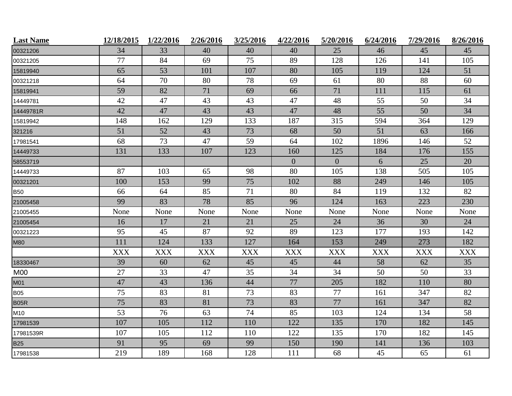| <b>Last Name</b> | 12/18/2015 | 1/22/2016  | 2/26/2016  | 3/25/2016  | 4/22/2016        | 5/20/2016      | 6/24/2016  | 7/29/2016  | 8/26/2016  |
|------------------|------------|------------|------------|------------|------------------|----------------|------------|------------|------------|
| 00321206         | 34         | 33         | 40         | 40         | 40               | 25             | 46         | 45         | 45         |
| 00321205         | 77         | 84         | 69         | 75         | 89               | 128            | 126        | 141        | 105        |
| 15819940         | 65         | 53         | 101        | 107        | 80               | 105            | 119        | 124        | 51         |
| 00321218         | 64         | 70         | 80         | 78         | 69               | 61             | 80         | 88         | 60         |
| 15819941         | 59         | 82         | 71         | 69         | 66               | 71             | 111        | 115        | 61         |
| 14449781         | 42         | 47         | 43         | 43         | 47               | 48             | 55         | 50         | 34         |
| 14449781R        | 42         | 47         | 43         | 43         | 47               | 48             | 55         | 50         | 34         |
| 15819942         | 148        | 162        | 129        | 133        | 187              | 315            | 594        | 364        | 129        |
| 321216           | 51         | 52         | 43         | 73         | 68               | 50             | 51         | 63         | 166        |
| 17981541         | 68         | 73         | 47         | 59         | 64               | 102            | 1896       | 146        | 52         |
| 14449733         | 131        | 133        | 107        | 123        | 160              | 125            | 184        | 176        | 155        |
| 58553719         |            |            |            |            | $\boldsymbol{0}$ | $\overline{0}$ | 6          | 25         | 20         |
| 14449733         | 87         | 103        | 65         | 98         | 80               | 105            | 138        | 505        | 105        |
| 00321201         | 100        | 153        | 99         | 75         | 102              | 88             | 249        | 146        | 105        |
| <b>B50</b>       | 66         | 64         | 85         | 71         | 80               | 84             | 119        | 132        | 82         |
| 21005458         | 99         | 83         | 78         | 85         | 96               | 124            | 163        | 223        | 230        |
| 21005455         | None       | None       | None       | None       | None             | None           | None       | None       | None       |
| 21005454         | 16         | 17         | 21         | 21         | 25               | 24             | 36         | 30         | 24         |
| 00321223         | 95         | 45         | 87         | 92         | 89               | 123            | 177        | 193        | 142        |
| <b>M80</b>       | 111        | 124        | 133        | 127        | 164              | 153            | 249        | 273        | 182        |
|                  | <b>XXX</b> | <b>XXX</b> | <b>XXX</b> | <b>XXX</b> | <b>XXX</b>       | <b>XXX</b>     | <b>XXX</b> | <b>XXX</b> | <b>XXX</b> |
| 18330467         | 39         | 60         | 62         | 45         | 45               | 44             | 58         | 62         | 35         |
| M00              | 27         | 33         | 47         | 35         | 34               | 34             | 50         | 50         | 33         |
| M01              | 47         | 43         | 136        | 44         | 77               | 205            | 182        | 110        | 80         |
| <b>B05</b>       | 75         | 83         | 81         | 73         | 83               | 77             | 161        | 347        | 82         |
| <b>B05R</b>      | 75         | 83         | 81         | 73         | 83               | 77             | 161        | 347        | 82         |
| M10              | 53         | 76         | 63         | 74         | 85               | 103            | 124        | 134        | 58         |
| 17981539         | 107        | 105        | 112        | 110        | 122              | 135            | 170        | 182        | 145        |
| 17981539R        | 107        | 105        | 112        | 110        | 122              | 135            | 170        | 182        | 145        |
| <b>B25</b>       | 91         | 95         | 69         | 99         | 150              | 190            | 141        | 136        | 103        |
| 17981538         | 219        | 189        | 168        | 128        | 111              | 68             | 45         | 65         | 61         |